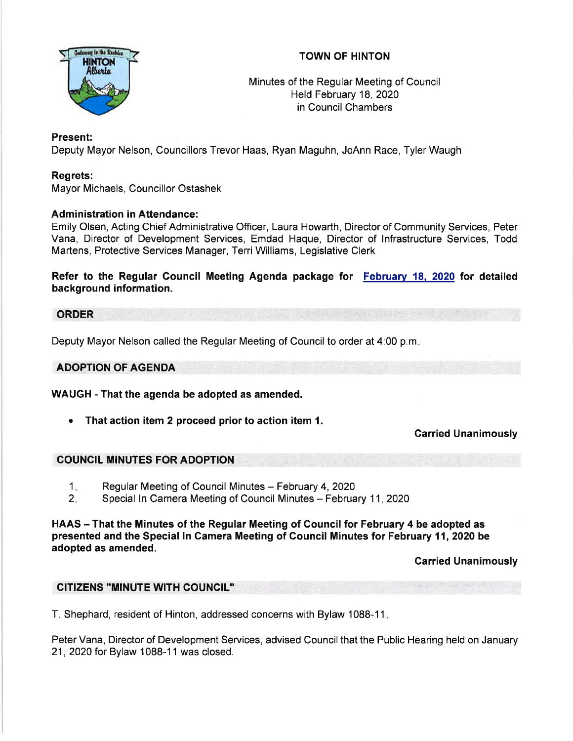



Minutes of the Regular Meeting of Council Held February 18,2020 in Council Chambers

# Present:

Deputy Mayor Nelson, Councillors Trevor Haas, Ryan Maguhn, JoAnn Race, Tyler Waugh

# Regrets:

Mayor Michaels, Councillor Ostashek

# Administration in Attendance:

Emily Olsen, Acting Chief Administrative Officer, Laura Howarth, Director of Community Services, Peter Vana, Director of Development Services, Emdad Haque, Director of lnfrastructure Services, Todd Martens, Protective Services Manager, Terri Williams, Legislative Clerk

Refer to the Regular Gouncil Meeting Agenda package for Februarv 18. 2020 for detailed background information.

#### **ORDER**

Deputy Mayor Nelson called the Regular Meeting of Council to order at 4:00 p.m

### ADOPTION OF AGENDA

WAUGH - That the agenda be adopted as amended.

• That action item 2 proceed prior to action item 1.

# Carried Unanimously

# COUNCIL MINUTES FOR ADOPTION

- Regular Meeting of Council Minutes February 4, 2020 1
- Special In Camera Meeting of Council Minutes February 11, 2020  $2 -$

HAAS – That the Minutes of the Regular Meeting of Council for February 4 be adopted as presented and the Special ln Camera Meeting of Council Minutes for February 11,2020 be adopted as amended.

Garried Unanimously

# CITIZENS "MINUTE WITH COUNCIL''

T. Shephard, resident of Hinton, addressed concerns with Bylaw 1088-1 <sup>1</sup>

Peter Vana, Director of Development Services, advised Council that the Public Hearing held on January 21,2020 for Bylaw 1088-11 was closed.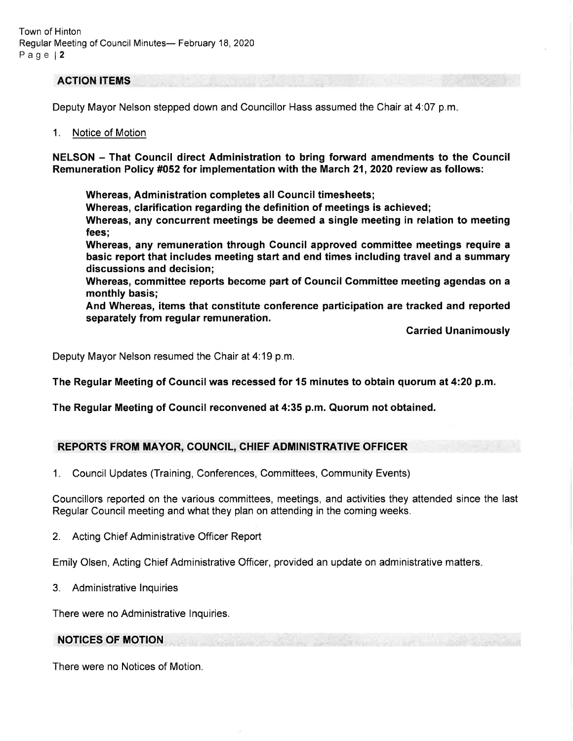#### ACTION ITEMS

Deputy Mayor Nelson stepped down and Councillor Hass assumed the Chair at 4:07 p.m

#### 1. Notice of Motion

NELSON - That Gouncil direct Administration to bring forward amendments to the Council Remuneration Policy #052 for implementation with the March 21,2020 review as follows:

Whereas, Administration completes all Gouncil timesheets;

Whereas, clarification regarding the definition of meetings is achieved;

Whereas, any concurrent meetings be deemed a single meeting in relation to meeting fees;

Whereas, any remuneration through Council approved committee meetings require a basic report that includes meeting start and end times including travel and a summary discussions and decision;

Whereas, commiftee reports become part of Gouncil Gommittee meeting agendas on a monthly basis;

And Whereas, items that constitute conference participation are tracked and reported separately from regular remuneration.

Garried Unanimously

Deputy Mayor Nelson resumed the Chair at 4:19 p.m.

The Regular Meeting of Council was recessed for 15 minutes to obtain quorum at 4:20 p.m.

The Regular Meeting of Gouncil reconvened at 4:35 p.m. Quorum not obtained.

# REPORTS FROM MAYOR, COUNCIL, CHIEF ADMINISTRATIVE OFFICER

1. Council Updates (Training, Conferences, Committees, Community Events)

Councillors reported on the various committees, meetings, and activities they attended since the last Regular Council meeting and what they plan on attending in the coming weeks.

2. Acting Chief Administrative Officer Report

Emily Olsen, Acting Chief Administrative Officer, provided an update on administrative matters

3. Administrative lnquiries

There were no Administrative lnquiries.

# NOTICES OF MOTION

There were no Notices of Motion.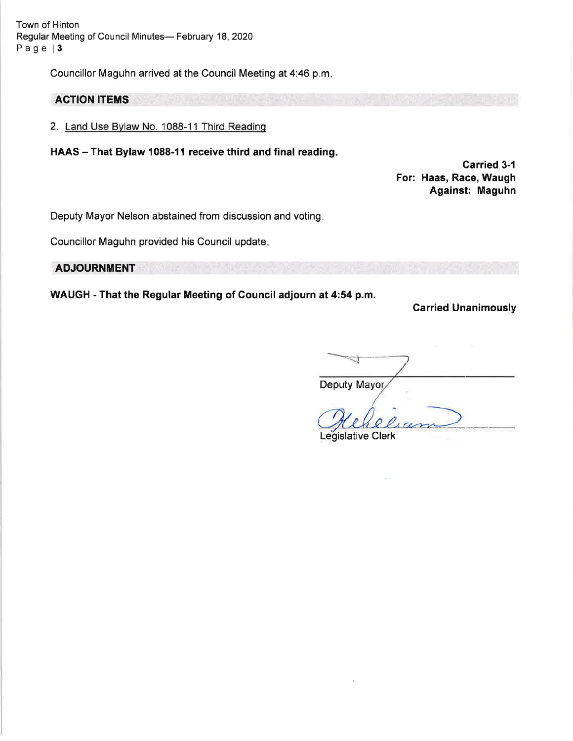Town of Hinton Regular Meeting of Council Minutes- February 18, 2020 Page | 3

Councillor Maguhn arrived at the Council Meeting at 4:46 p.m

### ACTION ITEMS

- 2. Land Use Bvlaw No. 1088-11 Third Readinq
- HAAS That Bylaw 1088-11 receive third and final reading.

Carried 3-1 For: Haas, Race, Waugh Against: Maguhn

Deputy Mayor Nelson abstained from discussion and voting

Councillor Maguhn provided his Council update

#### **ADJOURNMENT**

WAUGH - That the Regular Meeting of Gouncil adjourn at 4:54 p.m.

Carried Unanimously

Deputy Mayor

Legislative Clerk